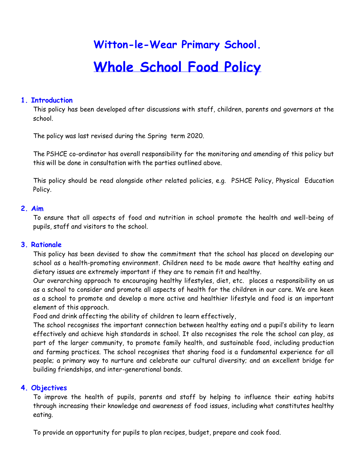# **Witton-le-Wear Primary School. Whole School Food Policy**

### **1. Introduction**

This policy has been developed after discussions with staff, children, parents and governors at the school.

The policy was last revised during the Spring term 2020.

The PSHCE co-ordinator has overall responsibility for the monitoring and amending of this policy but this will be done in consultation with the parties outlined above.

This policy should be read alongside other related policies, e.g. PSHCE Policy, Physical Education Policy.

### **2. Aim**

To ensure that all aspects of food and nutrition in school promote the health and well-being of pupils, staff and visitors to the school.

#### **3. Rationale**

This policy has been devised to show the commitment that the school has placed on developing our school as a health-promoting environment. Children need to be made aware that healthy eating and dietary issues are extremely important if they are to remain fit and healthy.

Our overarching approach to encouraging healthy lifestyles, diet, etc. places a responsibility on us as a school to consider and promote all aspects of health for the children in our care. We are keen as a school to promote and develop a more active and healthier lifestyle and food is an important element of this approach.

Food and drink affecting the ability of children to learn effectively,

The school recognises the important connection between healthy eating and a pupil's ability to learn effectively and achieve high standards in school. It also recognises the role the school can play, as part of the larger community, to promote family health, and sustainable food, including production and farming practices. The school recognises that sharing food is a fundamental experience for all people; a primary way to nurture and celebrate our cultural diversity; and an excellent bridge for building friendships, and inter-generational bonds.

#### **4. Objectives**

To improve the health of pupils, parents and staff by helping to influence their eating habits through increasing their knowledge and awareness of food issues, including what constitutes healthy eating.

To provide an opportunity for pupils to plan recipes, budget, prepare and cook food.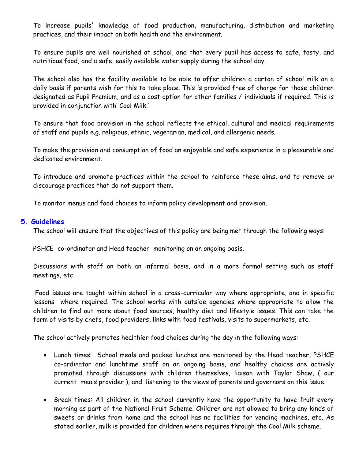To increase pupils' knowledge of food production, manufacturing, distribution and marketing practices, and their impact on both health and the environment.

To ensure pupils are well nourished at school, and that every pupil has access to safe, tasty, and nutritious food, and a safe, easily available water supply during the school day.

The school also has the facility available to be able to offer children a carton of school milk on a daily basis if parents wish for this to take place. This is provided free of charge for those children designated as Pupil Premium, and as a cost option for other families / individuals if required. This is provided in conjunction with' Cool Milk.'

To ensure that food provision in the school reflects the ethical, cultural and medical requirements of staff and pupils e.g. religious, ethnic, vegetarian, medical, and allergenic needs.

To make the provision and consumption of food an enjoyable and safe experience in a pleasurable and dedicated environment.

To introduce and promote practices within the school to reinforce these aims, and to remove or discourage practices that do not support them.

To monitor menus and food choices to inform policy development and provision.

#### **5. Guidelines**

The school will ensure that the objectives of this policy are being met through the following ways:

PSHCE co-ordinator and Head teacher monitoring on an ongoing basis.

Discussions with staff on both an informal basis, and in a more formal setting such as staff meetings, etc.

Food issues are taught within school in a cross-curricular way where appropriate, and in specific lessons where required. The school works with outside agencies where appropriate to allow the children to find out more about food sources, healthy diet and lifestyle issues. This can take the form of visits by chefs, food providers, links with food festivals, visits to supermarkets, etc.

The school actively promotes healthier food choices during the day in the following ways:

- Lunch times: School meals and packed lunches are monitored by the Head teacher, PSHCE co-ordinator and lunchtime staff on an ongoing basis, and healthy choices are actively promoted through discussions with children themselves, liaison with Taylor Shaw, ( our current meals provider ), and listening to the views of parents and governors on this issue.
- Break times: All children in the school currently have the opportunity to have fruit every morning as part of the National Fruit Scheme. Children are not allowed to bring any kinds of sweets or drinks from home and the school has no facilities for vending machines, etc. As stated earlier, milk is provided for children where requires through the Cool Milk scheme.